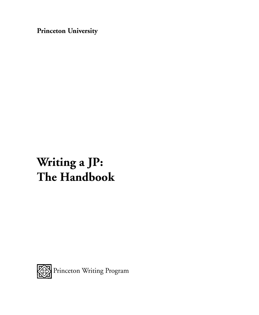**Princeton University**

# **Writing a JP: The Handbook**

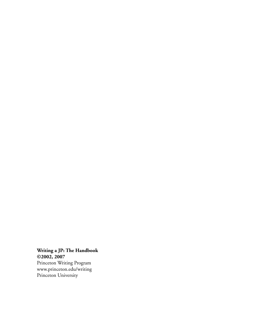**Writing a JP: The Handbook ©2002, 2007** Princeton Writing Program www.princeton.edu/writing Princeton University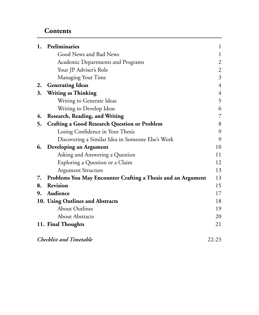### **Contents**

| 1. | Preliminaries                                                | $\mathbf{1}$   |
|----|--------------------------------------------------------------|----------------|
|    | Good News and Bad News                                       | 1              |
|    | Academic Departments and Programs                            | $\overline{c}$ |
|    | Your JP Adviser's Role                                       | $\mathfrak{2}$ |
|    | Managing Your Time                                           | 3              |
| 2. | <b>Generating Ideas</b>                                      | $\overline{4}$ |
| 3. | <b>Writing as Thinking</b>                                   | $\overline{4}$ |
|    | Writing to Generate Ideas                                    | 5              |
|    | Writing to Develop Ideas                                     | 6              |
| 4. | Research, Reading, and Writing                               | 7              |
| 5. | <b>Crafting a Good Research Question or Problem</b>          | 8              |
|    | Losing Confidence in Your Thesis                             | 9              |
|    | Discovering a Similar Idea in Someone Else's Work            | 9              |
| 6. | Developing an Argument                                       | 10             |
|    | Asking and Answering a Question                              | 11             |
|    | Exploring a Question or a Claim                              | 12             |
|    | <b>Argument Structure</b>                                    | 13             |
| 7. | Problems You May Encounter Crafting a Thesis and an Argument | 13             |
| 8. | <b>Revision</b>                                              | 15             |
| 9. | Audience                                                     | 17             |
|    | 10. Using Outlines and Abstracts                             | 18             |
|    | <b>About Outlines</b>                                        | 19             |
|    | <b>About Abstracts</b>                                       | 20             |
|    | 11. Final Thoughts                                           | 21             |
|    | <b>Checklist and Timetable</b>                               | $22 - 23$      |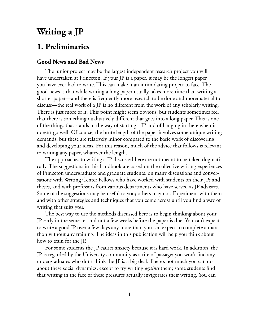# **Writing a JP**

# **1. Preliminaries**

#### **Good News and Bad News**

The junior project may be the largest independent research project you will have undertaken at Princeton. If your JP is a paper, it may be the longest paper you have ever had to write. This can make it an intimidating project to face. The good news is that while writing a long paper usually takes more time than writing a shorter paper—and there is frequently more research to be done and morematerial to discuss—the real work of a JP is no different from the work of any scholarly writing. There is just more of it. This point might seem obvious, but students sometimes feel that there is something qualitatively different that goes into a long paper. This is one of the things that stands in the way of starting a JP and of hanging in there when it doesn't go well. Of course, the brute length of the paper involves some unique writing demands, but these are relatively minor compared to the basic work of discovering and developing your ideas. For this reason, much of the advice that follows is relevant to writing any paper, whatever the length.

The approaches to writing a JP discussed here are not meant to be taken dogmatically. The suggestions in this handbook are based on the collective writing experiences of Princeton undergraduate and graduate students, on many discussions and conversations with Writing Center Fellows who have worked with students on their JPs and theses, and with professors from various departments who have served as JP advisers. Some of the suggestions may be useful to you; others may not. Experiment with them and with other strategies and techniques that you come across until you find a way of writing that suits you.

The best way to use the methods discussed here is to begin thinking about your JP early in the semester and not a few weeks before the paper is due. You can't expect to write a good JP over a few days any more than you can expect to complete a marathon without any training. The ideas in this publication will help you think about how to train for the JP.

For some students the JP causes anxiety because it is hard work. In addition, the JP is regarded by the University community as a rite of passage; you won't find any undergraduates who don't think the JP is a big deal. There's not much you can do about these social dynamics, except to try writing *against* them; some students find that writing in the face of these pressures actually invigorates their writing. You can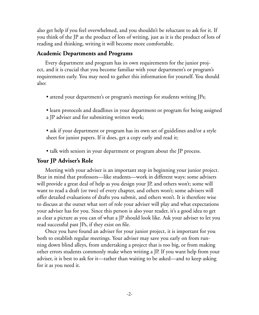also get help if you feel overwhelmed, and you shouldn't be reluctant to ask for it. If you think of the JP as the product of lots of writing, just as it is the product of lots of reading and thinking, writing it will become more comfortable.

#### **Academic Departments and Programs**

Every department and program has its own requirements for the junior project, and it is crucial that you become familiar with your department's or program's requirements early. You may need to gather this information for yourself. You should also:

• attend your department's or program's meetings for students writing JPs;

• learn protocols and deadlines in your department or program for being assigned a JP adviser and for submitting written work;

• ask if your department or program has its own set of guidelines and/or a style sheet for junior papers. If it does, get a copy early and read it;

• talk with seniors in your department or program about the JP process.

### **Your JP Adviser's Role**

Meeting with your adviser is an important step in beginning your junior project. Bear in mind that professors—like students—work in different ways: some advisers will provide a great deal of help as you design your JP, and others won't; some will want to read a draft (or two) of every chapter, and others won't; some advisers will offer detailed evaluations of drafts you submit, and others won't. It is therefore wise to discuss at the outset what sort of role your adviser will play and what expectations your adviser has for you. Since this person is also your reader, it's a good idea to get as clear a picture as you can of what a JP should look like. Ask your adviser to let you read successful past JPs, if they exist on file.

Once you have found an adviser for your junior project, it is important for you both to establish regular meetings. Your adviser may save you early on from running down blind alleys, from undertaking a project that is too big, or from making other errors students commonly make when writing a JP. If you want help from your adviser, it is best to ask for it—rather than waiting to be asked—and to keep asking for it as you need it.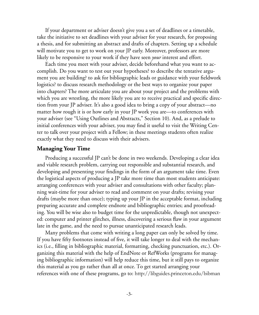If your department or adviser doesn't give you a set of deadlines or a timetable, take the initiative to set deadlines with your adviser for your research, for proposing a thesis, and for submitting an abstract and drafts of chapters. Setting up a schedule will motivate you to get to work on your JP early. Moreover, professors are more likely to be responsive to your work if they have seen *your* interest and effort.

Each time you meet with your adviser, decide beforehand what you want to accomplish. Do you want to test out your hypotheses? to describe the tentative argument you are building? to ask for bibliographic leads or guidance with your fieldwork logistics? to discuss research methodology or the best ways to organize your paper into chapters? The more articulate you are about your project and the problems with which you are wrestling, the more likely you are to receive practical and specific direction from your JP adviser. It's also a good idea to bring a copy of your abstract—no matter how rough it is or how early in your JP work you are—to conferences with your adviser (see "Using Outlines and Abstracts," Section 10). And, as a prelude to initial conferences with your adviser, you may find it useful to visit the Writing Center to talk over your project with a Fellow; in these meetings students often realize exactly what they need to discuss with their advisers.

#### **Managing Your Time**

Producing a successful JP can't be done in two weekends. Developing a clear idea and viable research problem, carrying out responsible and substantial research, and developing and presenting your findings in the form of an argument take time. Even the logistical aspects of producing a JP take more time than most students anticipate: arranging conferences with your adviser and consultations with other faculty; planning wait-time for your adviser to read and comment on your drafts; revising your drafts (maybe more than once); typing up your JP in the acceptable format, including preparing accurate and complete endnote and bibliographic entries; and proofreading. You will be wise also to budget time for the unpredictable, though not unexpected: computer and printer glitches, illness, discovering a serious flaw in your argument late in the game, and the need to pursue unanticipated research leads.

Many problems that come with writing a long paper can only be solved by time. If you have fifty footnotes instead of five, it will take longer to deal with the mechanics (i.e., filling in bibliographic material, formatting, checking punctuation, etc.). Organizing this material with the help of EndNote or RefWorks (programs for managing bibliographic information) will help reduce this time, but it still pays to organize this material as you go rather than all at once. To get started arranging your references with one of these programs, go to: http://libguides.princeton.edu/bibman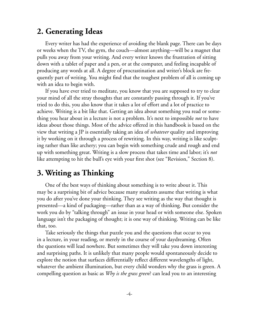# **2. Generating Ideas**

Every writer has had the experience of avoiding the blank page. There can be days or weeks when the TV, the gym, the couch—almost anything—will be a magnet that pulls you away from your writing. And every writer knows the frustration of sitting down with a tablet of paper and a pen, or at the computer, and feeling incapable of producing any words at all. A degree of procrastination and writer's block are frequently part of writing. You might find that the toughest problem of all is coming up with an idea to begin with.

If you have ever tried to meditate, you know that you are supposed to try to clear your mind of all the stray thoughts that are constantly passing through it. If you've tried to do this, you also know that it takes a lot of effort and a lot of practice to achieve. Writing is a bit like that. Getting an idea about something you read or something you hear about in a lecture is not a problem. It's next to impossible *not* to have ideas about those things. Most of the advice offered in this handbook is based on the view that writing a JP is essentially taking an idea of *whatever* quality and improving it by working on it through a process of rewriting. In this way, writing is like sculpting rather than like archery; you can begin with something crude and rough and end up with something great. Writing is a slow process that takes time and labor; it's *not*  like attempting to hit the bull's eye with your first shot (see "Revision," Section 8).

# **3. Writing as Thinking**

One of the best ways of thinking about something is to write about it. This may be a surprising bit of advice because many students assume that writing is what you do after you've done your thinking. They see writing as the way that thought is presented—a kind of packaging—rather than as a way of thinking. But consider the work you do by "talking through" an issue in your head or with someone else. Spoken language isn't the packaging of thought; it is one way of thinking. Writing can be like that, too.

Take seriously the things that puzzle you and the questions that occur to you in a lecture, in your reading, or merely in the course of your daydreaming. Often the questions will lead nowhere. But sometimes they will take you down interesting and surprising paths. It is unlikely that many people would spontaneously decide to explore the notion that surfaces differentially reflect different wavelengths of light, whatever the ambient illumination, but every child wonders why the grass is green. A compelling question as basic as *Why is the grass green*? can lead you to an interesting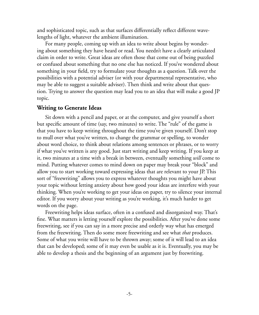and sophisticated topic, such as that surfaces differentially reflect different wavelengths of light, whatever the ambient illumination.

For many people, coming up with an idea to write about begins by wondering about something they have heard or read. You needn't have a clearly articulated claim in order to write. Great ideas are often those that come out of being puzzled or confused about something that no one else has noticed. If you've wondered about something in your field, try to formulate your thoughts as a question. Talk over the possibilities with a potential adviser (or with your departmental representative, who may be able to suggest a suitable adviser). Then think and write about that question. Trying to answer the question may lead you to an idea that will make a good JP topic.

#### **Writing to Generate Ideas**

Sit down with a pencil and paper, or at the computer, and give yourself a short but specific amount of time (say, two minutes) to write. The "rule" of the game is that you have to keep writing throughout the time you've given yourself. Don't stop to mull over what you've written, to change the grammar or spelling, to wonder about word choice, to think about relations among sentences or phrases, or to worry if what you've written is any good. Just start writing and keep writing. If you keep at it, two minutes at a time with a break in between, eventually something *will* come to mind. Putting whatever comes to mind down on paper may break your "block" and allow you to start working toward expressing ideas that are relevant to your JP. This sort of "freewriting" allows you to express whatever thoughts you might have about your topic without letting anxiety about how good your ideas are interfere with your thinking. When you're working to get your ideas on paper, try to silence your internal editor. If you worry about your writing as you're working, it's much harder to get words on the page.

Freewriting helps ideas surface, often in a confused and disorganized way. That's fine. What matters is letting yourself explore the possibilities. After you've done some freewriting, see if you can say in a more precise and orderly way what has emerged from the freewriting. Then do some more freewriting and see what *that* produces. Some of what you write will have to be thrown away; some of it will lead to an idea that can be developed; some of it may even be usable as it is. Eventually, you may be able to develop a thesis and the beginning of an argument just by freewriting.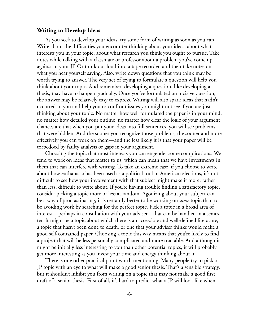#### **Writing to Develop Ideas**

As you seek to develop your ideas, try some form of writing as soon as you can. Write about the difficulties you encounter thinking about your ideas, about what interests you in your topic, about what research you think you ought to pursue. Take notes while talking with a classmate or professor about a problem you've come up against in your JP. Or think out loud into a tape recorder, and then take notes on what you hear yourself saying. Also, write down questions that you think may be worth trying to answer. The very act of trying to formulate a question will help you think about your topic. And remember: developing a question, like developing a thesis, may have to happen gradually. Once you've formulated an incisive question, the answer may be relatively easy to express. Writing will also spark ideas that hadn't occurred to you and help you to confront issues you might not see if you are just thinking about your topic. No matter how well formulated the paper is in your mind, no matter how detailed your outline, no matter how clear the logic of your argument, chances are that when you put your ideas into full sentences, you will see problems that were hidden. And the sooner you recognize those problems, the sooner and more effectively you can work on them—and the less likely it is that your paper will be torpedoed by faulty analysis or gaps in your argument.

Choosing the topic that most interests you can engender some complications. We tend to work on ideas that matter to us, which can mean that we have investments in them that can interfere with writing. To take an extreme case, if you choose to write about how euthanasia has been used as a political tool in American elections, it's not difficult to see how your involvement with that subject might make it more, rather than less, difficult to write about. If you're having trouble finding a satisfactory topic, consider picking a topic more or less at random. Agonizing about your subject can be a way of procrastinating; it is certainly better to be working on *some* topic than to be avoiding work by searching for the perfect topic. Pick a topic in a broad area of interest—perhaps in consultation with your adviser—that can be handled in a semester. It might be a topic about which there is an accessible and well-defined literature, a topic that hasn't been done to death, or one that your adviser thinks would make a good self-contained paper. Choosing a topic this way means that you're likely to find a project that will be less personally complicated and more tractable. And although it might be initially less interesting to you than other potential topics, it will probably get more interesting as you invest your time and energy thinking about it.

There is one other practical point worth mentioning. Many people try to pick a JP topic with an eye to what will make a good senior thesis. That's a sensible strategy, but it shouldn't inhibit you from writing on a topic that may not make a good first draft of a senior thesis. First of all, it's hard to predict what a JP will look like when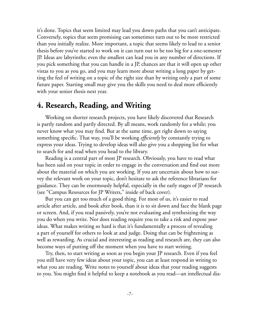it's done. Topics that seem limited may lead you down paths that you can't anticipate. Conversely, topics that seem promising can sometimes turn out to be more restricted than you initially realize. More important, a topic that seems likely to lead to a senior thesis before you've started to work on it can turn out to be too big for a one-semester JP. Ideas are labyrinths; even the smallest can lead you in any number of directions. If you pick something that you can handle in a JP, chances are that it will open up other vistas to you as you go, and you may learn more about writing a long paper by getting the feel of writing on a topic of the right size than by writing only a part of some future paper. Starting small may give you the skills you need to deal more efficiently with your senior thesis next year.

### **4. Research, Reading, and Writing**

Working on shorter research projects, you have likely discovered that Research is partly random and partly directed. By all means, work randomly for a while; you never know what you may find. But at the same time, get right down to saying something specific. That way, you'll be working *efficiently* by constantly trying to express your ideas. Trying to develop ideas will also give you a shopping list for what to search for and read when you head to the library.

Reading is a central part of most JP research. Obviously, you have to read what has been said on your topic in order to engage in the conversation and find out more about the material on which you are working. If you are uncertain about how to survey the relevant work on your topic, don't hesitate to ask the reference librarians for guidance. They can be enormously helpful, especially in the early stages of JP research (see "Campus Resources for JP Writers," inside of back cover).

But you can get too much of a good thing. For most of us, it's easier to read article after article, and book after book, than it is to sit down and face the blank page or screen. And, if you read passively, you're not evaluating and synthesizing the way you do when you write. Nor does reading require you to take a risk and expose *your*  ideas. What makes writing so hard is that it's fundamentally a process of revealing a part of yourself for others to look at and judge. Doing that can be frightening as well as rewarding. As crucial and interesting as reading and research are, they can also become ways of putting off the moment when you have to start writing.

Try, then, to start writing as soon as you begin your JP research. Even if you feel you still have very few ideas about your topic, you can at least respond in writing to what you are reading. Write notes to yourself about ideas that your reading suggests to you. You might find it helpful to keep a notebook as you read—an intellectual dia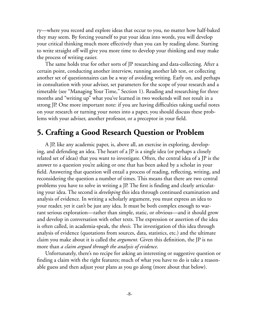ry—where you record and explore ideas that occur to you, no matter how half-baked they may seem. By forcing yourself to put your ideas into words, you will develop your critical thinking much more effectively than you can by reading alone. Starting to write straight off will give you more time to develop your thinking and may make the process of writing easier.

The same holds true for other sorts of JP researching and data-collecting. After a certain point, conducting another interview, running another lab test, or collecting another set of questionnaires can be a way of avoiding writing. Early on, and perhaps in consultation with your adviser, set parameters for the scope of your research and a timetable (see "Managing Your Time," Section 1). Reading and researching for three months and "writing up" what you've learned in two weekends will not result in a strong JP. One more important note: if you are having difficulties taking useful notes on your research or turning your notes into a paper, you should discuss these problems with your adviser, another professor, or a preceptor in your field.

# **5. Crafting a Good Research Question or Problem**

A JP, like any academic paper, is, above all, an exercise in exploring, developing, and defending an idea. The heart of a JP is a single idea (or perhaps a closely related set of ideas) that you want to investigate. Often, the central idea of a JP is the answer to a question you're asking or one that has been asked by a scholar in your field. Answering that question will entail a process of reading, reflecting, writing, and reconsidering the question a number of times. This means that there are two central problems you have to solve in writing a JP. The first is finding and clearly articulating your idea. The second is *developing* this idea through continued examination and analysis of evidence. In writing a scholarly argument, you must express an idea to your reader, yet it can't be just any idea. It must be both complex enough to warrant serious exploration—rather than simple, static, or obvious—and it should grow and develop in conversation with other texts. The expression or assertion of the idea is often called, in academia-speak, the *thesis.* The investigation of this idea through analysis of evidence (quotations from sources, data, statistics, etc.) and the ultimate claim you make about it is called the *argument.* Given this definition, the JP is no more than *a claim argued through the analysis of evidence*.

Unfortunately, there's no recipe for asking an interesting or suggestive question or finding a claim with the right features; much of what you have to do is take a reasonable guess and then adjust your plans as you go along (more about that below).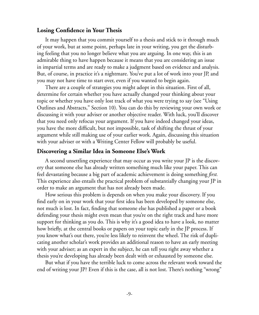#### **Losing Confidence in Your Thesis**

It may happen that you commit yourself to a thesis and stick to it through much of your work, but at some point, perhaps late in your writing, you get the disturbing feeling that you no longer believe what you are arguing. In one way, this is an admirable thing to have happen because it means that you are considering an issue in impartial terms and are ready to make a judgment based on evidence and analysis. But, of course, in practice it's a nightmare. You've put a lot of work into your JP, and you may not have time to start over, even if you wanted to begin again.

There are a couple of strategies you might adopt in this situation. First of all, determine for certain whether you have actually changed your thinking about your topic or whether you have only lost track of what you were trying to say (see "Using Outlines and Abstracts," Section 10). You can do this by reviewing your own work or discussing it with your adviser or another objective reader. With luck, you'll discover that you need only refocus your argument. If you have indeed changed your ideas, you have the more difficult, but not impossible, task of shifting the thrust of your argument while still making use of your earlier work. Again, discussing this situation with your adviser or with a Writing Center Fellow will probably be useful.

#### **Discovering a Similar Idea in Someone Else's Work**

A second unsettling experience that may occur as you write your JP is the discovery that someone else has already written something much like your paper. This can feel devastating because a big part of academic achievement is doing something *first.*  This experience also entails the practical problem of substantially changing your JP in order to make an argument that has not already been made.

How serious this problem is depends on when you make your discovery. If you find early on in your work that your first idea has been developed by someone else, not much is lost. In fact, finding that someone else has published a paper or a book defending your thesis might even mean that you're on the right track and have more support for thinking as you do. This is why it's a good idea to have a look, no matter how briefly, at the central books or papers on your topic early in the JP process. If you know what's out there, you're less likely to reinvent the wheel. The risk of duplicating another scholar's work provides an additional reason to have an early meeting with your adviser; as an expert in the subject, he can tell you right away whether a thesis you're developing has already been dealt with or exhausted by someone else.

But what if you have the terrible luck to come across the relevant work toward the end of writing your JP? Even if this is the case, all is not lost. There's nothing "wrong"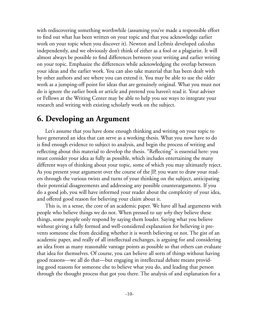with rediscovering something worthwhile (assuming you've made a responsible effort to find out what has been written on your topic and that you acknowledge earlier work on your topic when you discover it). Newton and Leibniz developed calculus independently, and we obviously don't think of either as a fool or a plagiarist. It will almost always be possible to find differences between your writing and earlier writing on your topic. Emphasize the differences while acknowledging the overlap between your ideas and the earlier work. You can also take material that has been dealt with by other authors and see where you can extend it. You may be able to use the older work as a jumping-off point for ideas that are genuinely original. What you must not do is ignore the earlier book or article and pretend you haven't read it. Your adviser or Fellows at the Writing Center may be able to help you see ways to integrate your research and writing with existing scholarly work on the subject.

### **6. Developing an Argument**

Let's assume that you have done enough thinking and writing on your topic to have generated an idea that can serve as a working thesis. What you now have to do is find enough evidence to subject to analysis, and begin the process of writing and reflecting about this material to develop the thesis. "Reflecting" is essential here: you must consider your idea as fully as possible, which includes entertaining the many different ways of thinking about your topic, some of which you may ultimately reject. As you present your argument over the course of the JP, you want to draw your readers through the various twists and turns of your thinking on the subject, anticipating their potential disagreements and addressing any possible counterarguments. If you do a good job, you will have informed your reader about the complexity of your idea, and offered good reason for believing your claim about it.

This is, in a sense, the core of an academic paper. We have all had arguments with people who believe things we do not. When pressed to say *why* they believe these things, some people only respond by saying them louder. Saying what you believe without giving a fully formed and well-considered explanation for believing it prevents someone else from deciding whether it is worth believing or not. The gist of an academic paper, and really of all intellectual exchanges, is arguing for and considering an idea from as many reasonable vantage points as possible so that others can evaluate that idea for themselves. Of course, you can believe all sorts of things without having good reasons—we all do that—but engaging in intellectual debate means providing good reasons for someone else to believe what you do, and leading that person through the thought process that got you there. The analysis of and explanation for a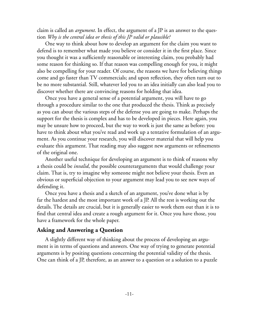claim is called an *argument*. In effect, the argument of a JP is an answer to the question *Why is the central idea or thesis of this JP valid or plausible?*

One way to think about how to develop an argument for the claim you want to defend is to remember what made you believe or consider it in the first place. Since you thought it was a sufficiently reasonable or interesting claim, you probably had some reason for thinking so. If that reason was compelling enough for you, it might also be compelling for your reader. Of course, the reasons we have for believing things come and go faster than TV commercials; and upon reflection, they often turn out to be no more substantial. Still, whatever led you to an idea initially can also lead you to discover whether there are convincing reasons for holding that idea.

Once you have a general sense of a potential argument, you will have to go through a procedure similar to the one that produced the thesis. Think as precisely as you can about the various steps of the defense you are going to make. Perhaps the support for the thesis is complex and has to be developed in pieces. Here again, you may be unsure how to proceed, but the way to work is just the same as before: you have to think about what you've read and work up a tentative formulation of an argument. As you continue your research, you will discover material that will help you evaluate this argument. That reading may also suggest new arguments or refinements of the original one.

Another useful technique for developing an argument is to think of reasons why a thesis could be *invalid*, the possible counterarguments that would challenge your claim. That is, try to imagine why someone might not believe your thesis. Even an obvious or superficial objection to your argument may lead you to see new ways of defending it.

Once you have a thesis and a sketch of an argument, you've done what is by far the hardest and the most important work of a JP. All the rest is working out the details. The details are crucial, but it is generally easier to work them out than it is to find that central idea and create a rough argument for it. Once you have those, you have a framework for the whole paper.

#### **Asking and Answering a Question**

A slightly different way of thinking about the process of developing an argument is in terms of questions and answers. One way of trying to generate potential arguments is by positing questions concerning the potential validity of the thesis. One can think of a JP, therefore, as an answer to a question or a solution to a puzzle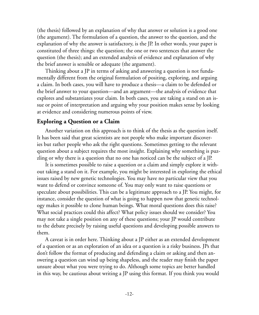(the thesis) followed by an explanation of why that answer or solution is a good one (the argument). The formulation of a question, the answer to the question, and the explanation of why the answer is satisfactory, is the JP. In other words, your paper is constituted of three things: the question; the one or two sentences that answer the question (the thesis); and an extended analysis of evidence and explanation of why the brief answer is sensible or adequate (the argument).

Thinking about a JP in terms of asking and answering a question is not fundamentally different from the original formulation of positing, exploring, and arguing a claim. In both cases, you will have to produce a thesis—a claim to be defended or the brief answer to your question—and an argument—the analysis of evidence that explores and substantiates your claim. In both cases, you are taking a stand on an issue or point of interpretation and arguing why your position makes sense by looking at evidence and considering numerous points of view.

#### **Exploring a Question or a Claim**

Another variation on this approach is to think of the thesis as the question itself. It has been said that great scientists are not people who make important discoveries but rather people who ask the right questions. Sometimes getting to the relevant question about a subject requires the most insight. Explaining why something is puzzling or why there is a question that no one has noticed can be the subject of a JP.

It is sometimes possible to raise a question or a claim and simply explore it without taking a stand on it. For example, you might be interested in exploring the ethical issues raised by new genetic technologies. You may have no particular view that you want to defend or convince someone of. You may only want to raise questions or speculate about possibilities. This can be a legitimate approach to a JP. You might, for instance, consider the question of what is going to happen now that genetic technology makes it possible to clone human beings. What moral questions does this raise? What social practices could this affect? What policy issues should we consider? You may not take a single position on any of these questions; your JP would contribute to the debate precisely by raising useful questions and developing possible answers to them.

A caveat is in order here. Thinking about a JP either as an extended development of a question or as an exploration of an idea or a question is a risky business. JPs that don't follow the format of producing and defending a claim or asking and then answering a question can wind up being shapeless, and the reader may finish the paper unsure about what you were trying to do. Although some topics are better handled in this way, be cautious about writing a JP using this format. If you think you would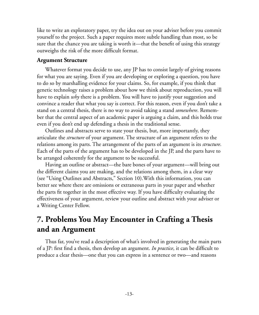like to write an exploratory paper, try the idea out on your adviser before you commit yourself to the project. Such a paper requires more subtle handling than most, so be sure that the chance you are taking is worth it—that the benefit of using this strategy outweighs the risk of the more difficult format.

#### **Argument Structure**

Whatever format you decide to use, any JP has to consist largely of giving reasons for what you are saying. Even if you are developing or exploring a question, you have to do so by marshalling evidence for your claims. So, for example, if you think that genetic technology raises a problem about how we think about reproduction, you will have to explain *why* there is a problem. You will have to justify your suggestion and convince a reader that what you say is correct. For this reason, even if you don't take a stand on a central thesis, there is no way to avoid taking a stand *somewhere*. Remember that the central aspect of an academic paper is arguing a claim, and this holds true even if you don't end up defending a thesis in the traditional sense.

Outlines and abstracts serve to state your thesis, but, more importantly, they articulate the *structure* of your argument. The structure of an argument refers to the relations among its parts. The arrangement of the parts of an argument is its *structure*. Each of the parts of the argument has to be developed in the JP, and the parts have to be arranged coherently for the argument to be successful.

Having an outline or abstract—the bare bones of your argument—will bring out the different claims you are making, and the relations among them, in a clear way (see "Using Outlines and Abstracts," Section 10).With this information, you can better see where there are omissions or extraneous parts in your paper and whether the parts fit together in the most effective way. If you have difficulty evaluating the effectiveness of your argument, review your outline and abstract with your adviser or a Writing Center Fellow.

# **7. Problems You May Encounter in Crafting a Thesis and an Argument**

Thus far, you've read a description of what's involved in generating the main parts of a JP: first find a thesis, then develop an argument. *In practice*, it can be difficult to produce a clear thesis—one that you can express in a sentence or two—and reasons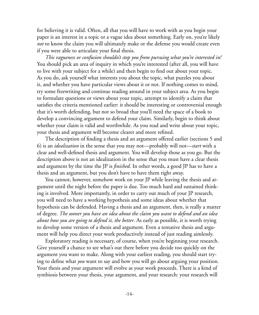for believing it is valid. Often, all that you will have to work with as you begin your paper is an interest in a topic or a vague idea about something. Early on, you're likely *not* to know the claim you will ultimately make or the defense you would create even if you were able to articulate your final thesis.

*This vagueness or confusion shouldn't stop you from pursuing what you're interested in!*  You should pick an area of inquiry in which you're interested (after all, you will have to live with your subject for a while) and then begin to find out about your topic. As you do, ask yourself what interests you about the topic, what puzzles you about it, and whether you have particular views about it or not. If nothing comes to mind, try some freewriting and continue reading around in your subject area. As you begin to formulate questions or views about your topic, attempt to identify a claim that satisfies the criteria mentioned earlier: it should be interesting or controversial enough that it's worth defending, but not so broad that you'll need the space of a book to develop a convincing argument to defend your claim. Similarly, begin to think about whether your claim is valid and worthwhile. As you read and write about your topic, your thesis and argument will become clearer and more refined.

The description of finding a thesis and an argument offered earlier (sections 5 and 6) is an *idealization* in the sense that you may not—probably will not—*start* with a clear and well-defined thesis and argument. You will develop those as you go. But the description above is not an idealization in the sense that you must have a clear thesis and argument by the time the JP is *finished.* In other words, a good JP has to have a thesis and an argument, but you don't have to have them right away.

You cannot, however, somehow work on your JP while leaving the thesis and argument until the night before the paper is due. Too much hard and sustained thinking is involved. More importantly, in order to carry out much of your JP research, you will need to have a working hypothesis and some ideas about whether that hypothesis can be defended. Having a thesis and an argument, then, is really a matter of degree. *The sooner you have an idea about the claim you want to defend and an idea about how you are going to defend it, the better*. As early as possible, it is worth trying to develop some version of a thesis and argument. Even a tentative thesis and argument will help you direct your work productively instead of just reading aimlessly.

Exploratory reading is necessary, of course, when you're beginning your research. Give yourself a chance to see what's out there before you decide too quickly on the argument you want to make. Along with your earliest reading, you should start trying to define what *you* want to say and how you will go about arguing your position. Your thesis and your argument will evolve as your work proceeds. There is a kind of symbiosis between your thesis, your argument, and your research: your research will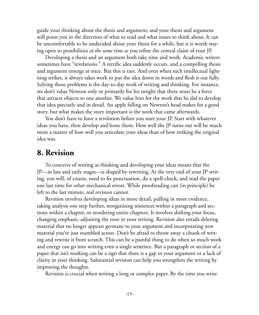guide your thinking about the thesis and argument, and your thesis and argument will point you in the direction of what to read and what issues to think about. It can be uncomfortable to be undecided about your thesis for a while, but it is worth staying open to possibilities *at the same time as* you refine the central claim of your JP.

Developing a thesis and an argument both take time and work. Academic writers sometimes have "revelations." A terrific idea suddenly occurs, and a compelling thesis and argument emerge at once. But this is rare. And even when such intellectual lightning strikes, it always takes work to put the idea down in words and flesh it out fully. Solving those problems is the day-to-day work of writing and thinking. For instance, we don't value Newton only or primarily for his insight that there must be a force that attracts objects to one another. We value him for the work that he did to develop that idea precisely and in detail. An apple falling on Newton's head makes for a good story, but what makes the story important is the work that came afterwards.

You don't have to have a revelation before you start your JP. Start with whatever ideas you have, then develop and hone them. How well the JP turns out will be much more a matter of how well you articulate your ideas than of how striking the original idea was.

### **8. Revision**

To conceive of writing as thinking and developing your ideas means that the JP—in late and early stages—is shaped by rewriting. At the very end of your JP writing, you will, of course, need to fix punctuation, do a spell-check, and read the paper one last time for other mechanical errors. While proofreading can (in principle) be left to the last minute, real revision cannot.

Revision involves developing ideas in more detail, pulling in more evidence, taking analysis one step further, reorganizing sentences within a paragraph and sections within a chapter, or reordering entire chapters. It involves shifting your focus, changing emphasis, adjusting the tone in your writing. Revision also entails deleting material that no longer appears germane to your argument and incorporating new material you've just stumbled across. Don't be afraid to throw away a chunk of writing and rewrite it from scratch. This can be a painful thing to do when so much work and energy can go into writing even a single sentence. But a paragraph or section of a paper that isn't working can be a sign that there is a gap in your argument or a lack of clarity in your thinking. Substantial revision can help you strengthen the writing by improving the thoughts.

Revision is crucial when writing a long or complex paper. By the time you write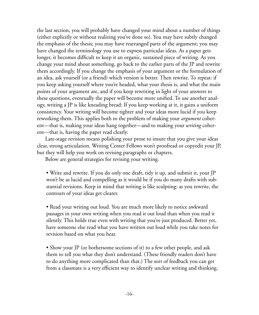the last section, you will probably have changed your mind about a number of things (either explicitly or without realizing you've done so). You may have subtly changed the emphasis of the thesis; you may have rearranged parts of the argument; you may have changed the terminology you use to express particular ideas. As a paper gets longer, it becomes difficult to keep it an organic, sustained piece of writing. As you change your mind about something, go back to the earlier parts of the JP and rewrite them accordingly. If you change the emphasis of your argument or the formulation of an idea, ask yourself (or a friend) which version is better. Then rewrite. To repeat: if you keep asking yourself where you're headed, what your thesis is, and what the main points of your argument are, and if you keep rewriting in light of your answers to these questions, eventually the paper will become more unified. To use another analogy, writing a JP is like kneading bread: If you keep working at it, it gains a uniform consistency. Your writing will become tighter and your ideas more lucid if you keep reworking them. This applies both to the problem of making your *argument* coherent—that is, making your ideas hang together—and to making your *writing* coherent—that is, having the paper read clearly.

Late-stage revision means polishing your prose to insure that you give your ideas clear, strong articulation. Writing Center Fellows won't proofread or copyedit your JP, but they will help you work on revising paragraphs or chapters.

Below are general strategies for revising your writing.

• Write and rewrite. If you do only one draft, tidy it up, and submit it, your JP won't be as lucid and compelling as it would be if you do many drafts with substantial revisions. Keep in mind that writing is like sculpting: as you rewrite, the contours of your ideas get clearer.

• Read your writing out loud. You are much more likely to notice awkward passages in your own writing when you read it out loud than when you read it silently. This holds true even with writing that you've just produced. Better yet, have someone else read what you have written out loud while you take notes for revision based on what you hear.

• Show your JP (or bothersome sections of it) to a few other people, and ask them to tell you what they don't understand. (These friendly readers don't have to do anything more complicated than that.) The sort of feedback you can get from a classmate is a very efficient way to identify unclear writing and thinking.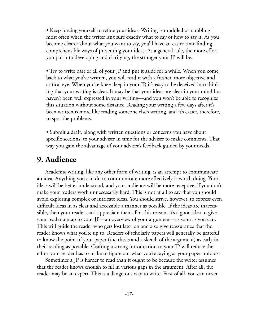• Keep forcing yourself to refine your ideas. Writing is muddled or rambling most often when the writer isn't sure exactly what to say or how to say it. As you become clearer about what you want to say, you'll have an easier time finding comprehensible ways of presenting your ideas. As a general rule, the more effort you put into developing and clarifying, the stronger your JP will be.

• Try to write part or all of your JP and put it aside for a while. When you come back to what you've written, you will read it with a fresher, more objective and critical eye. When you're knee-deep in your JP, it's easy to be deceived into thinking that your writing is clear. It may be that your ideas are clear in your mind but haven't been well expressed in your writing—and you won't be able to recognize this situation without some distance. Reading your writing a few days after it's been written is more like reading someone else's writing, and it's easier, therefore, to spot the problems.

• Submit a draft, along with written questions or concerns you have about specific sections, to your adviser in time for the adviser to make comments. That way you gain the advantage of your adviser's feedback guided by your needs.

### **9. Audience**

Academic writing, like any other form of writing, is an attempt to communicate an idea. Anything you can do to communicate more effectively is worth doing. Your ideas will be better understood, and your audience will be more receptive, if you don't make your readers work unnecessarily hard. This is not at all to say that you should avoid exploring complex or intricate ideas. You should strive, however, to express even difficult ideas in as clear and accessible a manner as possible. If the ideas are inaccessible, then your reader can't appreciate them. For this reason, it's a good idea to give your reader a map to your JP—an overview of your argument—as soon as you can. This will guide the reader who gets lost later on and also give reassurance that the reader knows what you're up to. Readers of scholarly papers will generally be grateful to know the point of your paper (the thesis and a sketch of the argument) as early in their reading as possible. Crafting a strong introduction to your JP will reduce the effort your reader has to make to figure out what you're saying as your paper unfolds.

Sometimes a JP is harder to read than it ought to be because the writer assumes that the reader knows enough to fill in various gaps in the argument. After all, the reader may be an expert. This is a dangerous way to write. First of all, you can never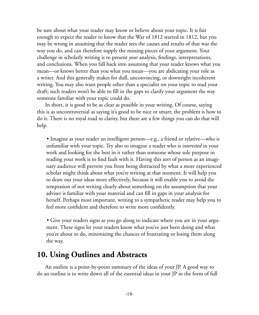be sure about what your reader may know or believe about your topic. It is fair enough to expect the reader to know that the War of 1812 started in 1812, but you may be wrong in assuming that the reader sees the causes and results of that war the way you do, and can therefore supply the missing pieces of your argument. Your challenge in scholarly writing is to present *your* analysis, findings, interpretations, and conclusions. When you fall back into assuming that your reader knows what you mean—or knows better than you what you mean—you are abdicating your role as a writer. And this generally makes for dull, unconvincing, or downright incoherent writing. You may also want people other than a specialist on your topic to read your draft; such readers won't be able to fill in the gaps to clarify your argument the way someone familiar with your topic could do.

In short, it is good to be as clear as possible in your writing. Of course, saying this is as uncontroversial as saying it's good to be nice or smart; the problem is how to do it. There is no royal road to clarity, but there are a few things you can do that will help.

• Imagine as your reader an intelligent person—e.g., a friend or relative—who is unfamiliar with your topic. Try also to imagine a reader who is *interested* in your work and looking for the best in it rather than someone whose sole purpose in reading your work is to find fault with it. Having this sort of person as an imaginary audience will prevent you from being distracted by what a more experienced scholar might think about what you're writing at that moment. It will help you to draw out your ideas more effectively, because it will enable you to avoid the temptation of not writing clearly about something on the assumption that your adviser is familiar with your material and can fill in gaps in your analysis for herself. Perhaps most important, writing to a sympathetic reader may help you to feel more confident and therefore to write more confidently.

• Give your readers signs as you go along to indicate where you are in your argument. These signs let your readers know what you've just been doing and what you're about to do, minimizing the chances of frustrating or losing them along the way.

### **10. Using Outlines and Abstracts**

An outline is a point-by-point summary of the ideas of your JP. A good way to do an outline is to write down all of the essential ideas in your JP in the form of full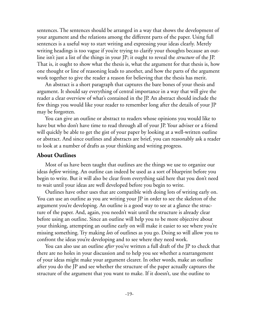sentences. The sentences should be arranged in a way that shows the development of your argument and the relations among the different parts of the paper. Using full sentences is a useful way to start writing and expressing your ideas clearly. Merely writing headings is too vague if you're trying to clarify your thoughts because an outline isn't just a list of the things in your JP; it ought to reveal the *structure* of the JP. That is, it ought to show what the thesis is, what the argument for that thesis is, how one thought or line of reasoning leads to another, and how the parts of the argument work together to give the reader a reason for believing that the thesis has merit.

An abstract is a short paragraph that captures the bare bones of your thesis and argument. It should say everything of central importance in a way that will give the reader a clear overview of what's contained in the JP. An abstract should include the few things you would like your reader to remember long after the details of your JP may be forgotten.

You can give an outline or abstract to readers whose opinions you would like to have but who don't have time to read through all of your JP. Your adviser or a friend will quickly be able to get the gist of your paper by looking at a well-written outline or abstract. And since outlines and abstracts are brief, you can reasonably ask a reader to look at a number of drafts as your thinking and writing progress.

#### **About Outlines**

Most of us have been taught that outlines are the things we use to organize our ideas *before* writing. An outline can indeed be used as a sort of blueprint before you begin to write. But it will also be clear from everything said here that you don't need to wait until your ideas are well developed before you begin to write.

Outlines have other uses that are compatible with doing lots of writing early on. You can use an outline as you are writing your JP in order to see the skeleton of the argument you're developing. An outline is a good way to see at a glance the structure of the paper. And, again, you needn't wait until the structure is already clear before using an outline. Since an outline will help you to be more objective about your thinking, attempting an outline early on will make it easier to see where you're missing something. Try making *lots* of outlines as you go. Doing so will allow you to confront the ideas you're developing and to see where they need work.

You can also use an outline *after* you've written a full draft of the JP to check that there are no holes in your discussion and to help you see whether a rearrangement of your ideas might make your argument clearer. In other words, make an outline after you do the JP and see whether the structure of the paper actually captures the structure of the argument that you want to make. If it doesn't, use the outline to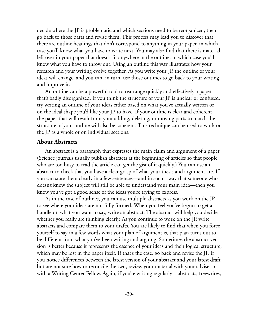decide where the JP is problematic and which sections need to be reorganized; then go back to those parts and revise them. This process may lead you to discover that there are outline headings that don't correspond to anything in your paper, in which case you'll know what you have to write next. You may also find that there is material left over in your paper that doesn't fit anywhere in the outline, in which case you'll know what you have to throw out. Using an outline this way illustrates how your research and your writing evolve together. As you write your JP, the outline of your ideas will change, and you can, in turn, use those outlines to go back to your writing and improve it.

An outline can be a powerful tool to rearrange quickly and effectively a paper that's badly disorganized. If you think the structure of your JP is unclear or confused, try writing an outline of your ideas either based on what you've actually written or on the ideal shape you'd like your JP to have. If your outline is clear and coherent, the paper that will result from your adding, deleting, or moving parts to match the structure of your outline will also be coherent. This technique can be used to work on the JP as a whole or on individual sections.

#### **About Abstracts**

An abstract is a paragraph that expresses the main claim and argument of a paper. (Science journals usually publish abstracts at the beginning of articles so that people who are too busy to read the article can get the gist of it quickly.) You can use an abstract to check that you have a clear grasp of what your thesis and argument are. If you can state them clearly in a few sentences—and in such a way that someone who doesn't know the subject will still be able to understand your main idea—then you know you've got a good sense of the ideas you're trying to express.

As in the case of outlines, you can use multiple abstracts as you work on the JP to see where your ideas are not fully formed. When you feel you've begun to get a handle on what you want to say, write an abstract. The abstract will help you decide whether you really are thinking clearly. As you continue to work on the JP, write abstracts and compare them to your drafts. You are likely to find that when you force yourself to say in a few words what your plan of argument is, that plan turns out to be different from what you've been writing and arguing. Sometimes the abstract version is better because it represents the essence of your ideas and their logical structure, which may be lost in the paper itself. If that's the case, go back and revise the JP. If you notice differences between the latest version of your abstract and your latest draft but are not sure how to reconcile the two, review your material with your adviser or with a Writing Center Fellow. Again, if you're writing regularly—abstracts, freewrites,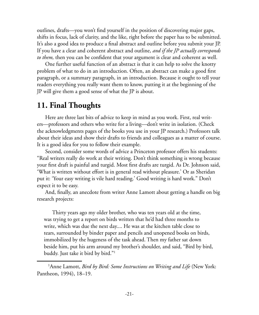outlines, drafts—you won't find yourself in the position of discovering major gaps, shifts in focus, lack of clarity, and the like, right before the paper has to be submitted. It's also a good idea to produce a final abstract and outline before you submit your JP. If you have a clear and coherent abstract and outline, *and if the JP actually corresponds to them,* then you can be confident that your argument is clear and coherent as well.

One further useful function of an abstract is that it can help to solve the knotty problem of what to do in an introduction. Often, an abstract can make a good first paragraph, or a summary paragraph, in an introduction. Because it ought to tell your readers everything you really want them to know, putting it at the beginning of the JP will give them a good sense of what the JP is about.

### **11. Final Thoughts**

Here are three last bits of advice to keep in mind as you work. First, real writers—professors and others who write for a living—don't write in isolation. (Check the acknowledgments pages of the books you use in your JP research.) Professors talk about their ideas and show their drafts to friends and colleagues as a matter of course. It is a good idea for you to follow their example.

Second, consider some words of advice a Princeton professor offers his students: "Real writers really do work at their writing. Don't think something is wrong because your first draft is painful and turgid. Most first drafts are turgid. As Dr. Johnson said, 'What is written without effort is in general read without pleasure.' Or as Sheridan put it: 'Your easy writing is vile hard reading.' Good writing is hard work." Don't expect it to be easy.

And, finally, an anecdote from writer Anne Lamott about getting a handle on big research projects:

Thirty years ago my older brother, who was ten years old at the time, was trying to get a report on birds written that he'd had three months to write, which was due the next day.... He was at the kitchen table close to tears, surrounded by binder paper and pencils and unopened books on birds, immobilized by the hugeness of the task ahead. Then my father sat down beside him, put his arm around my brother's shoulder, and said, "Bird by bird, buddy. Just take it bird by bird."1

<sup>&</sup>lt;sup>1</sup> Anne Lamott, *Bird by Bird: Some Instructions on Writing and Life* (New York: Pantheon, 1994), 18–19.